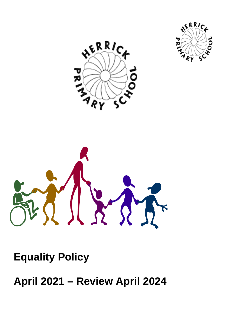





**Equality Policy** 

**April 2021 – Review April 2024**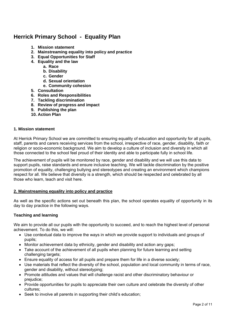# **Herrick Primary School - Equality Plan**

- **1. Mission statement**
- **2. Mainstreaming equality into policy and practice**
- **3. Equal Opportunities for Staff**
- **4. Equality and the law** 
	- **a. Race**
	- **b. Disability**
	- **c. Gender**
	- **d. Sexual orientation**
	- **e. Community cohesion**
- **5. Consultation**
- **6. Roles and Responsibilities**
- **7. Tackling discrimination**
- **8. Review of progress and impact**
- **9. Publishing the plan**
- **10. Action Plan**

#### **1. Mission statement**

At Herrick Primary School we are committed to ensuring equality of education and opportunity for all pupils, staff, parents and carers receiving services from the school, irrespective of race, gender, disability, faith or religion or socio-economic background. We aim to develop a culture of inclusion and diversity in which all those connected to the school feel proud of their identity and able to participate fully in school life.

The achievement of pupils will be monitored by race, gender and disability and we will use this data to support pupils, raise standards and ensure inclusive teaching. We will tackle discrimination by the positive promotion of equality, challenging bullying and stereotypes and creating an environment which champions respect for all. We believe that diversity is a strength, which should be respected and celebrated by all those who learn, teach and visit here.

## **2. Mainstreaming equality into policy and practice**

As well as the specific actions set out beneath this plan, the school operates equality of opportunity in its day to day practice in the following ways.

## **Teaching and learning**

We aim to provide all our pupils with the opportunity to succeed, and to reach the highest level of personal achievement. To do this, we will:

- Use contextual data to improve the ways in which we provide support to individuals and groups of pupils;
- Monitor achievement data by ethnicity, gender and disability and action any gaps;
- Take account of the achievement of all pupils when planning for future learning and setting challenging targets;
- Ensure equality of access for all pupils and prepare them for life in a diverse society;
- Use materials that reflect the diversity of the school, population and local community in terms of race, gender and disability, without stereotyping;
- Promote attitudes and values that will challenge racist and other discriminatory behaviour or prejudice;
- Provide opportunities for pupils to appreciate their own culture and celebrate the diversity of other cultures;
- Seek to involve all parents in supporting their child's education;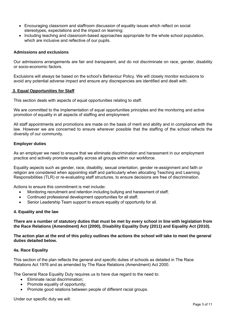- Encouraging classroom and staffroom discussion of equality issues which reflect on social stereotypes, expectations and the impact on learning;
- Including teaching and classroom-based approaches appropriate for the whole school population, which are inclusive and reflective of our pupils.

#### **Admissions and exclusions**

Our admissions arrangements are fair and transparent, and do not discriminate on race, gender, disability or socio-economic factors.

Exclusions will always be based on the school's Behaviour Policy. We will closely monitor exclusions to avoid any potential adverse impact and ensure any discrepancies are identified and dealt with.

#### **3. Equal Opportunities for Staff**

This section deals with aspects of equal opportunities relating to staff.

We are committed to the implementation of equal opportunities principles and the monitoring and active promotion of equality in all aspects of staffing and employment.

All staff appointments and promotions are made on the basis of merit and ability and in compliance with the law. However we are concerned to ensure wherever possible that the staffing of the school reflects the diversity of our community.

#### **Employer duties**

As an employer we need to ensure that we eliminate discrimination and harassment in our employment practice and actively promote equality across all groups within our workforce.

Equality aspects such as gender, race, disability, sexual orientation, gender re-assignment and faith or religion are considered when appointing staff and particularly when allocating Teaching and Learning Responsibilities (TLR) or re-evaluating staff structures, to ensure decisions are free of discrimination.

Actions to ensure this commitment is met include**:** 

- Monitoring recruitment and retention including bullying and harassment of staff;
- Continued professional development opportunities for all staff;
- Senior Leadership Team support to ensure equality of opportunity for all.

#### **4. Equality and the law**

**There are a number of statutory duties that must be met by every school in line with legislation from the Race Relations (Amendment) Act (2000), Disability Equality Duty (2011) and Equality Act (2010).** 

**The action plan at the end of this policy outlines the actions the school will take to meet the general duties detailed below.** 

## **4a. Race Equality**

This section of the plan reflects the general and specific duties of schools as detailed in The Race Relations Act 1976 and as amended by The Race Relations (Amendment) Act 2000.

The General Race Equality Duty requires us to have due regard to the need to:

- Eliminate racial discrimination:
- Promote equality of opportunity;
- Promote good relations between people of different racial groups.

Under our specific duty we will: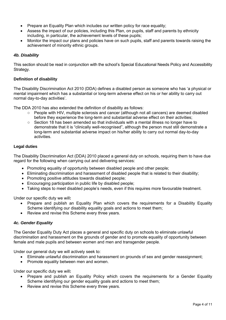- Prepare an Equality Plan which includes our written policy for race equality;
- Assess the impact of our policies, including this Plan, on pupils, staff and parents by ethnicity including, in particular, the achievement levels of these pupils;
- Monitor the impact our plans and policies have on such pupils, staff and parents towards raising the achievement of minority ethnic groups.

# *4b. Disability*

This section should be read in conjunction with the school's Special Educational Needs Policy and Accessibility Strategy.

## **Definition of disability**

The Disability Discrimination Act 2010 (DDA) defines a disabled person as someone who has 'a physical or mental impairment which has a substantial or long-term adverse effect on his or her ability to carry out normal day-to-day activities'.

The DDA 2010 has also extended the definition of disability as follows:

- People with HIV, multiple sclerosis and cancer (although not all cancers) are deemed disabled before they experience the long-term and substantial adverse effect on their activities;
- Section 18 has been amended so that individuals with a mental illness no longer have to demonstrate that it is "clinically well-recognised", although the person must still demonstrate a long-term and substantial adverse impact on his/her ability to carry out normal day-to-day activities.

# **Legal duties**

The Disability Discrimination Act (DDA) 2010 placed a general duty on schools, requiring them to have due regard for the following when carrying out and delivering services:

- Promoting equality of opportunity between disabled people and other people;
- Eliminating discrimination and harassment of disabled people that is related to their disability;
- Promoting positive attitudes towards disabled people;
- Encouraging participation in public life by disabled people;
- Taking steps to meet disabled people's needs, even if this requires more favourable treatment.

Under our specific duty we will**:** 

- Prepare and publish an Equality Plan which covers the requirements for a Disability Equality Scheme identifying our disability equality goals and actions to meet them;
- Review and revise this Scheme every three years.

## *4c. Gender Equality*

The Gender Equality Duty Act places a general and specific duty on schools to eliminate unlawful discrimination and harassment on the grounds of gender and to promote equality of opportunity between female and male pupils and between women and men and transgender people.

Under our general duty we will actively seek to:

- Eliminate unlawful discrimination and harassment on grounds of sex and gender reassignment;
- Promote equality between men and women.

Under our specific duty we will**:** 

- Prepare and publish an Equality Policy which covers the requirements for a Gender Equality Scheme identifying our gender equality goals and actions to meet them;
- Review and revise this Scheme every three years.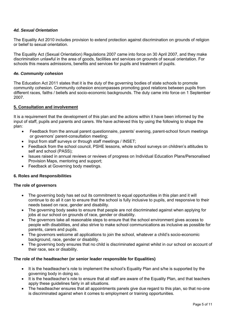# *4d. Sexual Orientation*

The Equality Act 2010 includes provision to extend protection against discrimination on grounds of religion or belief to sexual orientation.

The Equality Act (Sexual Orientation) Regulations 2007 came into force on 30 April 2007, and they make discrimination unlawful in the area of goods, facilities and services on grounds of sexual orientation. For schools this means admissions, benefits and services for pupils and treatment of pupils.

## *4e. Community cohesion*

The Education Act 2011 states that it is the duty of the governing bodies of state schools to promote community cohesion. Community cohesion encompasses promoting good relations between pupils from different races, faiths / beliefs and socio-economic backgrounds. The duty came into force on 1 September 2007.

#### **5. Consultation and involvement**

It is a requirement that the development of this plan and the actions within it have been informed by the input of staff, pupils and parents and carers. We have achieved this by using the following to shape the plan:

- Feedback from the annual parent questionnaire, parents' evening, parent-school forum meetings or governors' parent-consultation meeting;
- Input from staff surveys or through staff meetings / INSET;
- Feedback from the school council, PSHE lessons, whole school surveys on children's attitudes to self and school (PASS);
- Issues raised in annual reviews or reviews of progress on Individual Education Plans/Personalised Provision Maps, mentoring and support;
- Feedback at Governing body meetings.

## **6. Roles and Responsibilities**

#### **The role of governors**

- The governing body has set out its commitment to equal opportunities in this plan and it will continue to do all it can to ensure that the school is fully inclusive to pupils, and responsive to their needs based on race, gender and disability.
- The governing body seeks to ensure that people are not discriminated against when applying for jobs at our school on grounds of race, gender or disability.
- The governors take all reasonable steps to ensure that the school environment gives access to people with disabilities, and also strive to make school communications as inclusive as possible for parents, carers and pupils.
- The governors welcome all applications to join the school, whatever a child's socio-economic background, race, gender or disability.
- The governing body ensures that no child is discriminated against whilst in our school on account of their race, sex or disability.

#### **The role of the headteacher (or senior leader responsible for Equalities)**

- It is the headteacher's role to implement the school's Equality Plan and s/he is supported by the governing body in doing so.
- It is the headteacher's role to ensure that all staff are aware of the Equality Plan, and that teachers apply these guidelines fairly in all situations.
- The headteacher ensures that all appointments panels give due regard to this plan, so that no-one is discriminated against when it comes to employment or training opportunities.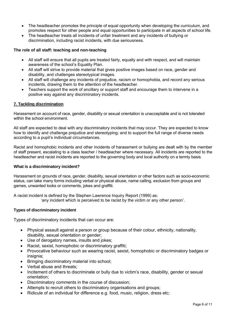- The headteacher promotes the principle of equal opportunity when developing the curriculum, and promotes respect for other people and equal opportunities to participate in all aspects of school life.
- The headteacher treats all incidents of unfair treatment and any incidents of bullying or discrimination, including racist incidents, with due seriousness.

## **The role of all staff: teaching and non-teaching**

- All staff will ensure that all pupils are treated fairly, equally and with respect, and will maintain awareness of the school's Equality Plan.
- All staff will strive to provide material that gives positive images based on race, gender and disability, and challenges stereotypical images.
- All staff will challenge any incidents of prejudice, racism or homophobia, and record any serious incidents, drawing them to the attention of the headteacher.
- Teachers support the work of ancillary or support staff and encourage them to intervene in a positive way against any discriminatory incidents.

## **7. Tackling discrimination**

Harassment on account of race, gender, disability or sexual orientation is unacceptable and is not tolerated within the school environment.

All staff are expected to deal with any discriminatory incidents that may occur. They are expected to know how to identify and challenge prejudice and stereotyping; and to support the full range of diverse needs according to a pupil's individual circumstances.

Racist and homophobic incidents and other incidents of harassment or bullying are dealt with by the member of staff present, escalating to a class teacher / headteacher where necessary. All incidents are reported to the headteacher and racist incidents are reported to the governing body and local authority on a termly basis.

## **What is a discriminatory incident?**

Harassment on grounds of race, gender, disability, sexual orientation or other factors such as socio-economic status, can take many forms including verbal or physical abuse, name calling, exclusion from groups and games, unwanted looks or comments, jokes and graffiti.

A racist incident is defined by the Stephen Lawrence Inquiry Report (1999) as: 'any incident which is perceived to be racist by the victim or any other person'.

## **Types of discriminatory incident**

Types of discriminatory incidents that can occur are:

- Physical assault against a person or group because of their colour, ethnicity, nationality, disability, sexual orientation or gender;
- Use of derogatory names, insults and jokes;
- Racist, sexist, homophobic or discriminatory graffiti;
- Provocative behaviour such as wearing racist, sexist, homophobic or discriminatory badges or insignia:
- Bringing discriminatory material into school;
- Verbal abuse and threats;
- Incitement of others to discriminate or bully due to victim's race, disability, gender or sexual orientation;
- Discriminatory comments in the course of discussion;
- Attempts to recruit others to discriminatory organisations and groups;
- Ridicule of an individual for difference e.g. food, music, religion, dress etc;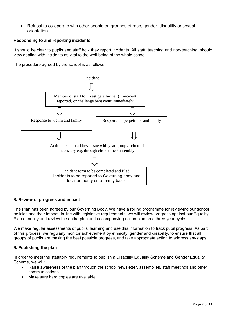Refusal to co-operate with other people on grounds of race, gender, disability or sexual orientation.

## **Responding to and reporting incidents**

It should be clear to pupils and staff how they report incidents. All staff, teaching and non-teaching, should view dealing with incidents as vital to the well-being of the whole school.

The procedure agreed by the school is as follows:



## **8. Review of progress and impact**

The Plan has been agreed by our Governing Body. We have a rolling programme for reviewing our school policies and their impact. In line with legislative requirements, we will review progress against our Equality Plan annually and review the entire plan and accompanying action plan on a three year cycle.

We make regular assessments of pupils' learning and use this information to track pupil progress. As part of this process, we regularly monitor achievement by ethnicity, gender and disability, to ensure that all groups of pupils are making the best possible progress, and take appropriate action to address any gaps.

## **9. Publishing the plan**

In order to meet the statutory requirements to publish a Disability Equality Scheme and Gender Equality Scheme, we will:

- Raise awareness of the plan through the school newsletter, assemblies, staff meetings and other communications;
- Make sure hard copies are available.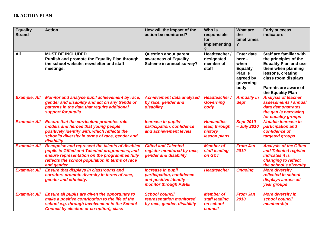| <b>Equality</b><br><b>Strand</b> | <b>Action</b>                                                                                                                                                                                                       | How will the impact of the<br>action be monitored?                                                | Who is<br>responsible<br>for<br>implementing                  | <b>What are</b><br>the<br>timeframes                                                                | <b>Early success</b><br>indicators                                                                                                                                                              |
|----------------------------------|---------------------------------------------------------------------------------------------------------------------------------------------------------------------------------------------------------------------|---------------------------------------------------------------------------------------------------|---------------------------------------------------------------|-----------------------------------------------------------------------------------------------------|-------------------------------------------------------------------------------------------------------------------------------------------------------------------------------------------------|
| All                              | <b>MUST BE INCLUDED</b><br>Publish and promote the Equality Plan through<br>the school website, newsletter and staff<br>meetings.                                                                                   | <b>Question about parent</b><br>awareness of Equality<br>Scheme in annual survey?                 | Headteacher /<br>designated<br>member of<br>staff             | <b>Enter date</b><br>here -<br>when<br><b>Equality</b><br>Plan is<br>agreed by<br>governing<br>body | Staff are familiar with<br>the principles of the<br><b>Equality Plan and use</b><br>them when planning<br>lessons, creating<br>class room displays<br>Parents are aware of<br>the Equality Plan |
| <b>Example: All</b>              | Monitor and analyse pupil achievement by race,<br>gender and disability and act on any trends or<br>patterns in the data that require additional<br>support for pupils.                                             | <b>Achievement data analysed</b><br>by race, gender and<br>disability                             | Headteacher /<br><b>Governing</b><br>body                     | <b>Annually in</b><br><b>Sept</b>                                                                   | <b>Analysis of teacher</b><br>assessments / annual<br>data demonstrates<br>the gap is narrowing<br>for equality groups                                                                          |
| <b>Example: All</b>              | <b>Ensure that the curriculum promotes role</b><br>models and heroes that young people<br>positively identify with, which reflects the<br>school's diversity in terms of race, gender and<br>disability.            | Increase in pupils'<br>participation, confidence<br>and achievement levels                        | <b>Humanities</b><br>lead, through<br>history<br>lesson plans | <b>Sept 2010</b><br>- July 2010                                                                     | Notable increase in<br>participation and<br>confidence of<br>targeted groups                                                                                                                    |
| <b>Example: All</b>              | Recognise and represent the talents of disabled<br>pupils in Gifted and Talented programmes, and<br>ensure representation on the programmes fully<br>reflects the school population in terms of race<br>and gender. | <b>Gifted and Talented</b><br>register monitored by race,<br>gender and disability                | <b>Member of</b><br>staff leading<br>on G&T                   | <b>From Jan</b><br>2010                                                                             | <b>Analysis of the Gifted</b><br>and Talented register<br><i>indicates it is</i><br>changing to reflect<br>the school's diversity                                                               |
| <b>Example: All</b>              | <b>Ensure that displays in classrooms and</b><br>corridors promote diversity in terms of race,<br>gender and ethnicity.                                                                                             | Increase in pupil<br>participation, confidence<br>and positive identity -<br>monitor through PSHE | <b>Headteacher</b>                                            | <b>Ongoing</b>                                                                                      | <b>More diversity</b><br>reflected in school<br>displays across all<br>year groups                                                                                                              |
| <b>Example: All</b>              | Ensure all pupils are given the opportunity to<br>make a positive contribution to the life of the<br>school e.g. through involvement in the School<br><b>Council by election or co-option), class</b>               | <b>School council</b><br>representation monitored<br>by race, gender, disability                  | <b>Member of</b><br>staff leading<br>on school<br>council     | <b>From Jan</b><br>2010                                                                             | <b>More diversity in</b><br>school council<br>membership                                                                                                                                        |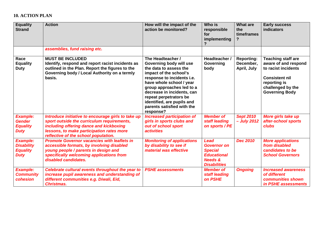## **10. ACTION PLAN**

| <b>Equality</b><br><b>Strand</b>                                       | <b>Action</b>                                                                                                                                                                                                                    | How will the impact of the<br>action be monitored?                                                                                                                                                                                                                                                                       | Who is<br>responsible<br>for<br>implementing                                                                           | <b>What are</b><br>the<br>timeframes<br>?     | <b>Early success</b><br><b>indicators</b>                                                                                                                       |
|------------------------------------------------------------------------|----------------------------------------------------------------------------------------------------------------------------------------------------------------------------------------------------------------------------------|--------------------------------------------------------------------------------------------------------------------------------------------------------------------------------------------------------------------------------------------------------------------------------------------------------------------------|------------------------------------------------------------------------------------------------------------------------|-----------------------------------------------|-----------------------------------------------------------------------------------------------------------------------------------------------------------------|
|                                                                        | assemblies, fund raising etc.                                                                                                                                                                                                    |                                                                                                                                                                                                                                                                                                                          |                                                                                                                        |                                               |                                                                                                                                                                 |
| Race<br><b>Equality</b><br><b>Duty</b>                                 | <b>MUST BE INCLUDED</b><br>Identify, respond and report racist incidents as<br>outlined in the Plan. Report the figures to the<br>Governing body / Local Authority on a termly<br>basis.                                         | The Headteacher /<br>Governing body will use<br>the data to assess the<br>impact of the school's<br>response to incidents i.e.<br>have whole school / year<br>group approaches led to a<br>decrease in incidents, can<br>repeat perpetrators be<br>identified, are pupils and<br>parents satisfied with the<br>response? | Headteacher /<br>Governing<br>body                                                                                     | <b>Reporting:</b><br>December,<br>April, July | <b>Teaching staff are</b><br>aware of and respond<br>to racist incidents<br><b>Consistent nil</b><br>reporting is<br>challenged by the<br><b>Governing Body</b> |
| <b>Example:</b><br><b>Gender</b><br><b>Equality</b><br><b>Duty</b>     | Introduce initiative to encourage girls to take up<br>sport outside the curriculum requirements,<br>including offering dance and kickboxing<br>lessons, to make participation rates more<br>reflective of the school population. | <b>Increased participation of</b><br>girls in sports clubs and<br>out of school sport<br><i><b>activities</b></i>                                                                                                                                                                                                        | <b>Member of</b><br>staff leading<br>on sports / PE                                                                    | <b>Sept 2010</b><br>- July 2012               | More girls take up<br>after-school sports<br>clubs                                                                                                              |
| <b>Example:</b><br><b>Disability</b><br><b>Equality</b><br><b>Duty</b> | <b>Promote Governor vacancies with leaflets in</b><br>accessible formats, by involving disabled<br>young people / parents in design and<br>specifically welcoming applications from<br>disabled candidates.                      | <b>Monitoring of applications</b><br>by disability to see if<br>material was effective                                                                                                                                                                                                                                   | <b>Lead</b><br><b>Governor on</b><br><b>Special</b><br><b>Educational</b><br><b>Needs &amp;</b><br><b>Disabilities</b> | <b>Dec 2010</b>                               | <b>More applications</b><br>from disabled<br>candidates to be<br><b>School Governors</b>                                                                        |
| <b>Example:</b><br><b>Community</b><br>cohesion                        | Celebrate cultural events throughout the year to<br>increase pupil awareness and understanding of<br>different communities e.g. Diwali, Eid,<br><b>Christmas.</b>                                                                | <b>PSHE assessments</b>                                                                                                                                                                                                                                                                                                  | <b>Member of</b><br>staff leading<br>on PSHE                                                                           | <b>Ongoing</b>                                | <b>Increased awareness</b><br>of different<br>communities shown<br>in PSHE assessments                                                                          |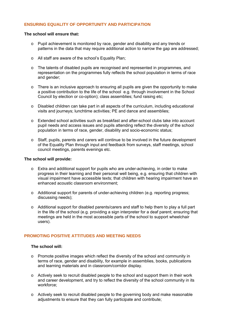# **ENSURING EQUALITY OF OPPORTUNITY AND PARTICIPATION**

#### **The school will ensure that:**

- o Pupil achievement is monitored by race, gender and disability and any trends or patterns in the data that may require additional action to narrow the gap are addressed:
- o All staff are aware of the school's Equality Plan;
- o The talents of disabled pupils are recognised and represented in programmes, and representation on the programmes fully reflects the school population in terms of race and gender;
- o There is an inclusive approach to ensuring all pupils are given the opportunity to make a positive contribution to the life of the school e.g. through involvement in the School Council by election or co-option); class assemblies; fund raising etc;
- $\circ$  Disabled children can take part in all aspects of the curriculum, including educational visits and journeys; lunchtime activities; PE and dance and assemblies;
- o Extended school activities such as breakfast and after-school clubs take into account pupil needs and access issues and pupils attending reflect the diversity of the school population in terms of race, gender, disability and socio-economic status;
- o Staff, pupils, parents and carers will continue to be involved in the future development of the Equality Plan through input and feedback from surveys, staff meetings, school council meetings, parents evenings etc.

#### **The school will provide:**

- o Extra and additional support for pupils who are under-achieving, in order to make progress in their learning and their personal well being, e.g. ensuring that children with visual impairment have accessible texts; that children with hearing impairment have an enhanced acoustic classroom environment;
- o Additional support for parents of under-achieving children (e.g. reporting progress; discussing needs);
- $\circ$  Additional support for disabled parents/carers and staff to help them to play a full part in the life of the school (e.g. providing a sign interpreter for a deaf parent; ensuring that meetings are held in the most accessible parts of the school to support wheelchair users).

## **PROMOTING POSITIVE ATTITUDES AND MEETING NEEDS**

## **The school will:**

- o Promote positive images which reflect the diversity of the school and community in terms of race, gender and disability, for example in assemblies, books, publications and learning materials and in classroom/corridor display.
- $\circ$  Actively seek to recruit disabled people to the school and support them in their work and career development, and try to reflect the diversity of the school community in its workforce;
- o Actively seek to recruit disabled people to the governing body and make reasonable adjustments to ensure that they can fully participate and contribute;